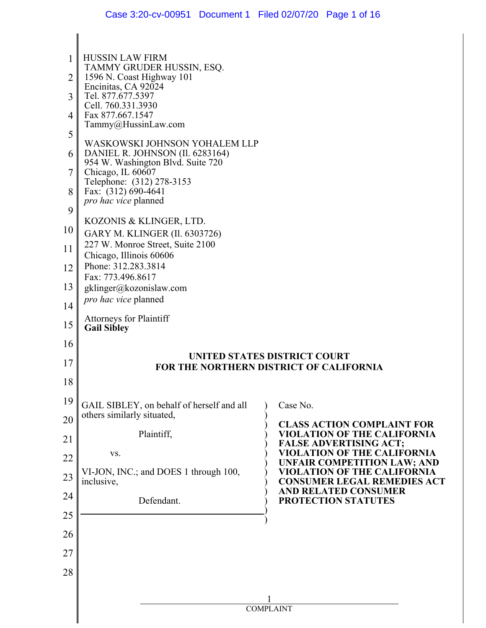| 1       | <b>HUSSIN LAW FIRM</b>                                                                                                                   |                                                                     |  |
|---------|------------------------------------------------------------------------------------------------------------------------------------------|---------------------------------------------------------------------|--|
| 2       | TAMMY GRUDER HUSSIN, ESQ.<br>1596 N. Coast Highway 101                                                                                   |                                                                     |  |
| 3       | Encinitas, CA 92024<br>Tel. 877.677.5397<br>Cell. 760.331.3930<br>Fax 877.667.1547<br>Tammy@HussinLaw.com                                |                                                                     |  |
| 4       |                                                                                                                                          |                                                                     |  |
|         |                                                                                                                                          |                                                                     |  |
| 5<br>6  | WASKOWSKI JOHNSON YOHALEM LLP<br>DANIEL R. JOHNSON (Il. 6283164)                                                                         |                                                                     |  |
| 7       | 954 W. Washington Blvd. Suite 720<br>Chicago, IL 60607                                                                                   |                                                                     |  |
| 8       | Telephone: (312) 278-3153<br>Fax: (312) 690-4641                                                                                         |                                                                     |  |
|         | pro hac vice planned                                                                                                                     |                                                                     |  |
| 9<br>10 | KOZONIS & KLINGER, LTD.                                                                                                                  |                                                                     |  |
| 11      | GARY M. KLINGER (Il. 6303726)<br>227 W. Monroe Street, Suite 2100<br>Chicago, Illinois 60606<br>Phone: 312.283.3814<br>Fax: 773.496.8617 |                                                                     |  |
| 12      |                                                                                                                                          |                                                                     |  |
|         |                                                                                                                                          |                                                                     |  |
| 13      | gklinger@kozonislaw.com<br>pro hac vice planned                                                                                          |                                                                     |  |
| 14      | <b>Attorneys for Plaintiff</b>                                                                                                           |                                                                     |  |
| 15      | <b>Gail Sibley</b>                                                                                                                       |                                                                     |  |
| 16      |                                                                                                                                          |                                                                     |  |
| 17      | UNITED STATES DISTRICT COURT<br>FOR THE NORTHERN DISTRICT OF CALIFORNIA                                                                  |                                                                     |  |
| 18      |                                                                                                                                          |                                                                     |  |
| 19      | GAIL SIBLEY, on behalf of herself and all                                                                                                | Case No.                                                            |  |
| 20      | others similarly situated,                                                                                                               | <b>CLASS ACTION COMPLAINT FOR</b>                                   |  |
| 21      | Plaintiff,                                                                                                                               | <b>VIOLATION OF THE CALIFORNIA</b><br><b>FALSE ADVERTISING ACT;</b> |  |
| 22      | VS.                                                                                                                                      | VIOLATION OF THE CALIFORNIA<br><b>UNFAIR COMPETITION LAW; AND</b>   |  |
| 23      | VI-JON, INC.; and DOES 1 through 100,<br>inclusive,                                                                                      | VIOLATION OF THE CALIFORNIA<br><b>CONSUMER LEGAL REMEDIES ACT</b>   |  |
| 24      | Defendant.                                                                                                                               | <b>AND RELATED CONSUMER</b><br>PROTECTION STATUTES                  |  |
| 25      |                                                                                                                                          |                                                                     |  |
| 26      |                                                                                                                                          |                                                                     |  |
| 27      |                                                                                                                                          |                                                                     |  |
| 28      |                                                                                                                                          |                                                                     |  |
|         |                                                                                                                                          |                                                                     |  |
|         |                                                                                                                                          | <b>COMPLAINT</b>                                                    |  |

 $\parallel$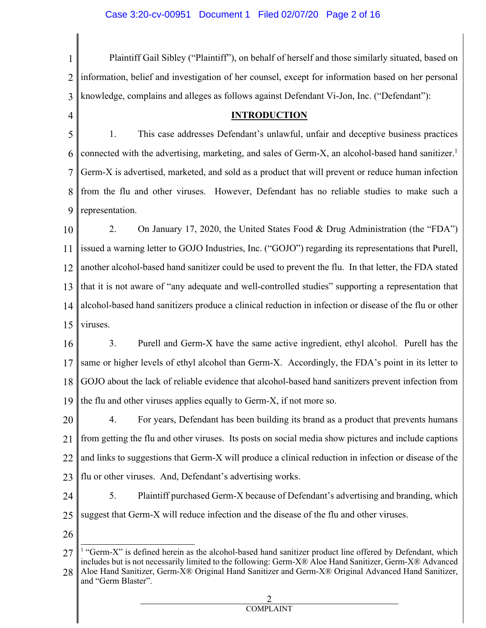1 2 3 Plaintiff Gail Sibley ("Plaintiff"), on behalf of herself and those similarly situated, based on information, belief and investigation of her counsel, except for information based on her personal knowledge, complains and alleges as follows against Defendant Vi-Jon, Inc. ("Defendant"):

### **INTRODUCTION**

5 6 7 8 9 1. This case addresses Defendant's unlawful, unfair and deceptive business practices connected with the advertising, marketing, and sales of Germ-X, an alcohol-based hand sanitizer. 1 Germ-X is advertised, marketed, and sold as a product that will prevent or reduce human infection from the flu and other viruses. However, Defendant has no reliable studies to make such a representation.

10 11 12 13 14 15 2. On January 17, 2020, the United States Food & Drug Administration (the "FDA") issued a warning letter to GOJO Industries, Inc. ("GOJO") regarding its representations that Purell, another alcohol-based hand sanitizer could be used to prevent the flu. In that letter, the FDA stated that it is not aware of "any adequate and well-controlled studies" supporting a representation that alcohol-based hand sanitizers produce a clinical reduction in infection or disease of the flu or other viruses.

16 17 18 19 3. Purell and Germ-X have the same active ingredient, ethyl alcohol. Purell has the same or higher levels of ethyl alcohol than Germ-X. Accordingly, the FDA's point in its letter to GOJO about the lack of reliable evidence that alcohol-based hand sanitizers prevent infection from the flu and other viruses applies equally to Germ-X, if not more so.

20 21 22 23 4. For years, Defendant has been building its brand as a product that prevents humans from getting the flu and other viruses. Its posts on social media show pictures and include captions and links to suggestions that Germ-X will produce a clinical reduction in infection or disease of the flu or other viruses. And, Defendant's advertising works.

24 25 5. Plaintiff purchased Germ-X because of Defendant's advertising and branding, which suggest that Germ-X will reduce infection and the disease of the flu and other viruses.

26

4

<sup>27</sup>  $<sup>1</sup>$  "Germ-X" is defined herein as the alcohol-based hand sanitizer product line offered by Defendant, which</sup> includes but is not necessarily limited to the following: Germ-X® Aloe Hand Sanitizer, Germ-X® Advanced

<sup>28</sup> Aloe Hand Sanitizer, Germ-X® Original Hand Sanitizer and Germ-X® Original Advanced Hand Sanitizer, and "Germ Blaster".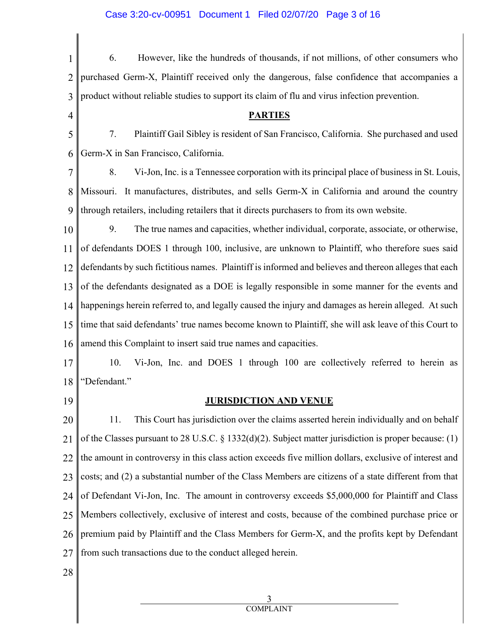| 1              | However, like the hundreds of thousands, if not millions, of other consumers who<br>6.                 |  |
|----------------|--------------------------------------------------------------------------------------------------------|--|
| $\overline{2}$ | purchased Germ-X, Plaintiff received only the dangerous, false confidence that accompanies a           |  |
| 3              | product without reliable studies to support its claim of flu and virus infection prevention.           |  |
| $\overline{4}$ | <b>PARTIES</b>                                                                                         |  |
| 5              | Plaintiff Gail Sibley is resident of San Francisco, California. She purchased and used<br>7.           |  |
| 6              | Germ-X in San Francisco, California.                                                                   |  |
| 7              | Vi-Jon, Inc. is a Tennessee corporation with its principal place of business in St. Louis,<br>8.       |  |
| 8              | Missouri. It manufactures, distributes, and sells Germ-X in California and around the country          |  |
| 9              | through retailers, including retailers that it directs purchasers to from its own website.             |  |
| 10             | The true names and capacities, whether individual, corporate, associate, or otherwise,<br>9.           |  |
| 11             | of defendants DOES 1 through 100, inclusive, are unknown to Plaintiff, who therefore sues said         |  |
| 12             | defendants by such fictitious names. Plaintiff is informed and believes and thereon alleges that each  |  |
| 13             | of the defendants designated as a DOE is legally responsible in some manner for the events and         |  |
| 14             | happenings herein referred to, and legally caused the injury and damages as herein alleged. At such    |  |
| 15             | time that said defendants' true names become known to Plaintiff, she will ask leave of this Court to   |  |
| 16             | amend this Complaint to insert said true names and capacities.                                         |  |
| 17             | 10.<br>Vi-Jon, Inc. and DOES 1 through 100 are collectively referred to herein as                      |  |
| 18             | "Defendant."                                                                                           |  |
| 19             | <b>JURISDICTION AND VENUE</b>                                                                          |  |
| 20             | This Court has jurisdiction over the claims asserted herein individually and on behalf<br>11.          |  |
| 21             | of the Classes pursuant to 28 U.S.C. § 1332(d)(2). Subject matter jurisdiction is proper because: (1)  |  |
| 22             | the amount in controversy in this class action exceeds five million dollars, exclusive of interest and |  |
| 23             | costs; and (2) a substantial number of the Class Members are citizens of a state different from that   |  |
| 24             | of Defendant Vi-Jon, Inc. The amount in controversy exceeds \$5,000,000 for Plaintiff and Class        |  |
| 25             | Members collectively, exclusive of interest and costs, because of the combined purchase price or       |  |
| 26             | premium paid by Plaintiff and the Class Members for Germ-X, and the profits kept by Defendant          |  |
| 27             | from such transactions due to the conduct alleged herein.                                              |  |
| 28             |                                                                                                        |  |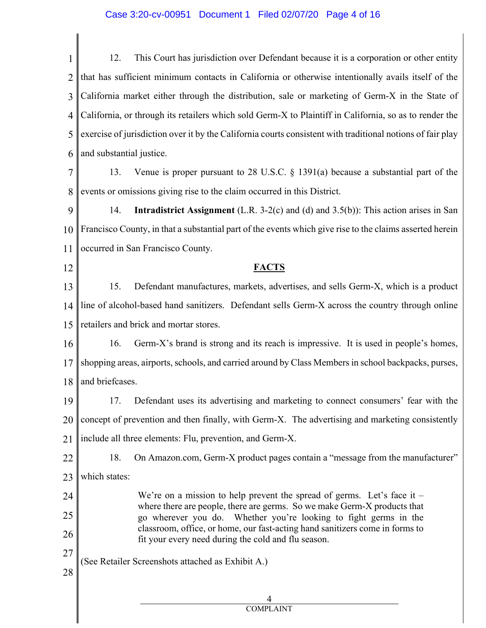1 2 3 4 5 6 12. This Court has jurisdiction over Defendant because it is a corporation or other entity that has sufficient minimum contacts in California or otherwise intentionally avails itself of the California market either through the distribution, sale or marketing of Germ-X in the State of California, or through its retailers which sold Germ-X to Plaintiff in California, so as to render the exercise of jurisdiction over it by the California courts consistent with traditional notions of fair play and substantial justice.

7 8 13. Venue is proper pursuant to 28 U.S.C. § 1391(a) because a substantial part of the events or omissions giving rise to the claim occurred in this District.

9 10 11 14. **Intradistrict Assignment** (L.R. 3-2(c) and (d) and 3.5(b)): This action arises in San Francisco County, in that a substantial part of the events which give rise to the claims asserted herein occurred in San Francisco County.

12

28

**FACTS**

13 14 15 15. Defendant manufactures, markets, advertises, and sells Germ-X, which is a product line of alcohol-based hand sanitizers. Defendant sells Germ-X across the country through online retailers and brick and mortar stores.

16 17 18 16. Germ-X's brand is strong and its reach is impressive. It is used in people's homes, shopping areas, airports, schools, and carried around by Class Members in school backpacks, purses, and briefcases.

19 20 21 17. Defendant uses its advertising and marketing to connect consumers' fear with the concept of prevention and then finally, with Germ-X. The advertising and marketing consistently include all three elements: Flu, prevention, and Germ-X.

22 23 18. On Amazon.com, Germ-X product pages contain a "message from the manufacturer" which states:

24 25 26 We're on a mission to help prevent the spread of germs. Let's face it  $$ where there are people, there are germs. So we make Germ-X products that go wherever you do. Whether you're looking to fight germs in the classroom, office, or home, our fast-acting hand sanitizers come in forms to fit your every need during the cold and flu season.

27 (See Retailer Screenshots attached as Exhibit A.)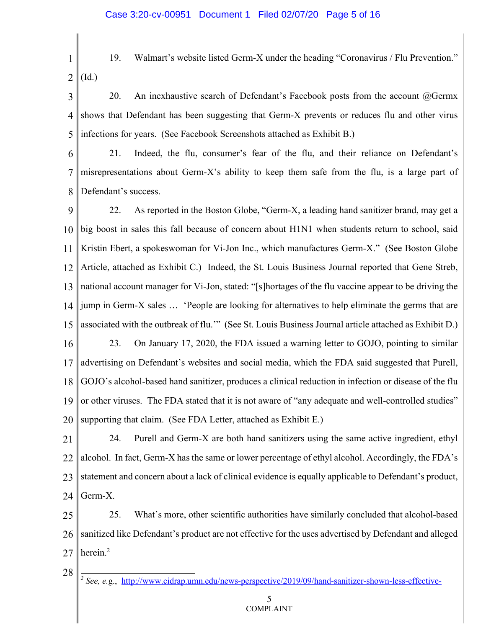- 1 2 19. Walmart's website listed Germ-X under the heading "Coronavirus / Flu Prevention." (Id.)
- 3 4 5 20. An inexhaustive search of Defendant's Facebook posts from the account  $@Germx$ shows that Defendant has been suggesting that Germ-X prevents or reduces flu and other virus infections for years. (See Facebook Screenshots attached as Exhibit B.)

6 7 8 21. Indeed, the flu, consumer's fear of the flu, and their reliance on Defendant's misrepresentations about Germ-X's ability to keep them safe from the flu, is a large part of Defendant's success.

9 10 11 12 13 14 15 16 17 18 19 20 22. As reported in the Boston Globe, "Germ-X, a leading hand sanitizer brand, may get a big boost in sales this fall because of concern about H1N1 when students return to school, said Kristin Ebert, a spokeswoman for Vi-Jon Inc., which manufactures Germ-X." (See Boston Globe Article, attached as Exhibit C.) Indeed, the St. Louis Business Journal reported that Gene Streb, national account manager for Vi-Jon, stated: "[s]hortages of the flu vaccine appear to be driving the jump in Germ-X sales … 'People are looking for alternatives to help eliminate the germs that are associated with the outbreak of flu.'" (See St. Louis Business Journal article attached as Exhibit D.) 23. On January 17, 2020, the FDA issued a warning letter to GOJO, pointing to similar advertising on Defendant's websites and social media, which the FDA said suggested that Purell, GOJO's alcohol-based hand sanitizer, produces a clinical reduction in infection or disease of the flu or other viruses. The FDA stated that it is not aware of "any adequate and well-controlled studies" supporting that claim. (See FDA Letter, attached as Exhibit E.)

21 22 23 24 24. Purell and Germ-X are both hand sanitizers using the same active ingredient, ethyl alcohol. In fact, Germ-X has the same or lower percentage of ethyl alcohol. Accordingly, the FDA's statement and concern about a lack of clinical evidence is equally applicable to Defendant's product, Germ-X.

25 26 27 25. What's more, other scientific authorities have similarly concluded that alcohol-based sanitized like Defendant's product are not effective for the uses advertised by Defendant and alleged herein.2

- 28
	- *<sup>2</sup> See, e.*g., http://www.cidrap.umn.edu/news-perspective/2019/09/hand-sanitizer-shown-less-effective-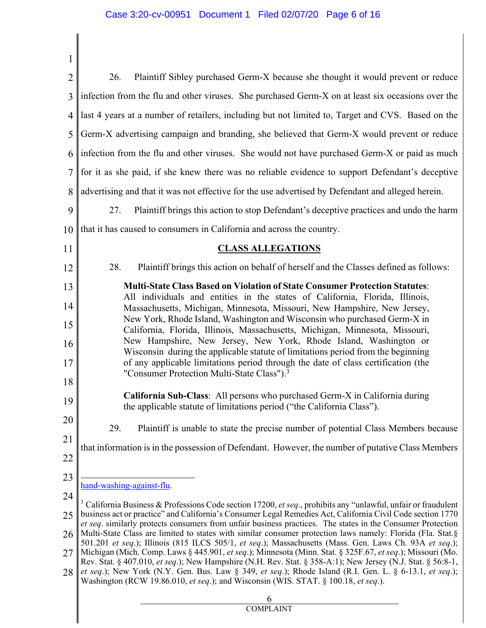$\parallel$ 

║

| $\overline{2}$ | 26.<br>Plaintiff Sibley purchased Germ-X because she thought it would prevent or reduce                                                                                                                                                                                                                                                                                                                                                                                                                                                                                                                                                                                      |  |  |
|----------------|------------------------------------------------------------------------------------------------------------------------------------------------------------------------------------------------------------------------------------------------------------------------------------------------------------------------------------------------------------------------------------------------------------------------------------------------------------------------------------------------------------------------------------------------------------------------------------------------------------------------------------------------------------------------------|--|--|
| 3              | infection from the flu and other viruses. She purchased Germ-X on at least six occasions over the                                                                                                                                                                                                                                                                                                                                                                                                                                                                                                                                                                            |  |  |
| 4              | last 4 years at a number of retailers, including but not limited to, Target and CVS. Based on the                                                                                                                                                                                                                                                                                                                                                                                                                                                                                                                                                                            |  |  |
| 5              | Germ-X advertising campaign and branding, she believed that Germ-X would prevent or reduce                                                                                                                                                                                                                                                                                                                                                                                                                                                                                                                                                                                   |  |  |
| 6              | infection from the flu and other viruses. She would not have purchased Germ-X or paid as much                                                                                                                                                                                                                                                                                                                                                                                                                                                                                                                                                                                |  |  |
| 7              | for it as she paid, if she knew there was no reliable evidence to support Defendant's deceptive                                                                                                                                                                                                                                                                                                                                                                                                                                                                                                                                                                              |  |  |
| 8              | advertising and that it was not effective for the use advertised by Defendant and alleged herein.                                                                                                                                                                                                                                                                                                                                                                                                                                                                                                                                                                            |  |  |
| 9              | Plaintiff brings this action to stop Defendant's deceptive practices and undo the harm<br>27.                                                                                                                                                                                                                                                                                                                                                                                                                                                                                                                                                                                |  |  |
| 10             | that it has caused to consumers in California and across the country.                                                                                                                                                                                                                                                                                                                                                                                                                                                                                                                                                                                                        |  |  |
| 11             | <b>CLASS ALLEGATIONS</b>                                                                                                                                                                                                                                                                                                                                                                                                                                                                                                                                                                                                                                                     |  |  |
| 12             | 28.<br>Plaintiff brings this action on behalf of herself and the Classes defined as follows:                                                                                                                                                                                                                                                                                                                                                                                                                                                                                                                                                                                 |  |  |
| 13             | <b>Multi-State Class Based on Violation of State Consumer Protection Statutes:</b>                                                                                                                                                                                                                                                                                                                                                                                                                                                                                                                                                                                           |  |  |
| 14             | All individuals and entities in the states of California, Florida, Illinois,<br>Massachusetts, Michigan, Minnesota, Missouri, New Hampshire, New Jersey,<br>New York, Rhode Island, Washington and Wisconsin who purchased Germ-X in<br>California, Florida, Illinois, Massachusetts, Michigan, Minnesota, Missouri,<br>New Hampshire, New Jersey, New York, Rhode Island, Washington or                                                                                                                                                                                                                                                                                     |  |  |
| 15             |                                                                                                                                                                                                                                                                                                                                                                                                                                                                                                                                                                                                                                                                              |  |  |
| 16             |                                                                                                                                                                                                                                                                                                                                                                                                                                                                                                                                                                                                                                                                              |  |  |
| 17             | Wisconsin during the applicable statute of limitations period from the beginning<br>of any applicable limitations period through the date of class certification (the                                                                                                                                                                                                                                                                                                                                                                                                                                                                                                        |  |  |
| 18             | "Consumer Protection Multi-State Class"). <sup>3</sup>                                                                                                                                                                                                                                                                                                                                                                                                                                                                                                                                                                                                                       |  |  |
| 19             | California Sub-Class: All persons who purchased Germ-X in California during<br>the applicable statute of limitations period ("the California Class").                                                                                                                                                                                                                                                                                                                                                                                                                                                                                                                        |  |  |
| 20             | 29.<br>Plaintiff is unable to state the precise number of potential Class Members because                                                                                                                                                                                                                                                                                                                                                                                                                                                                                                                                                                                    |  |  |
| 21             | that information is in the possession of Defendant. However, the number of putative Class Members                                                                                                                                                                                                                                                                                                                                                                                                                                                                                                                                                                            |  |  |
| 22             |                                                                                                                                                                                                                                                                                                                                                                                                                                                                                                                                                                                                                                                                              |  |  |
| 23             | hand-washing-against-flu.                                                                                                                                                                                                                                                                                                                                                                                                                                                                                                                                                                                                                                                    |  |  |
| 24             | <sup>3</sup> California Business & Professions Code section 17200, et seq., prohibits any "unlawful, unfair or fraudulent                                                                                                                                                                                                                                                                                                                                                                                                                                                                                                                                                    |  |  |
| 25             | business act or practice" and California's Consumer Legal Remedies Act, California Civil Code section 1770<br>et seq. similarly protects consumers from unfair business practices. The states in the Consumer Protection<br>Multi-State Class are limited to states with similar consumer protection laws namely: Florida (Fla. Stat.§<br>501.201 et seq.); Illinois (815 ILCS 505/1, et seq.); Massachusetts (Mass. Gen. Laws Ch. 93A et seq.);<br>Michigan (Mich. Comp. Laws § 445.901, et seq.); Minnesota (Minn. Stat. § 325F.67, et seq.); Missouri (Mo.<br>Rev. Stat. § 407.010, et seq.); New Hampshire (N.H. Rev. Stat. § 358-A:1); New Jersey (N.J. Stat. § 56:8-1, |  |  |
| 26             |                                                                                                                                                                                                                                                                                                                                                                                                                                                                                                                                                                                                                                                                              |  |  |
| 27             |                                                                                                                                                                                                                                                                                                                                                                                                                                                                                                                                                                                                                                                                              |  |  |
| 28             | et seq.); New York (N.Y. Gen. Bus. Law § 349, et seq.); Rhode Island (R.I. Gen. L. § 6-13.1, et seq.);<br>Washington (RCW 19.86.010, et seq.); and Wisconsin (WIS. STAT. § 100.18, et seq.).                                                                                                                                                                                                                                                                                                                                                                                                                                                                                 |  |  |
|                | 6                                                                                                                                                                                                                                                                                                                                                                                                                                                                                                                                                                                                                                                                            |  |  |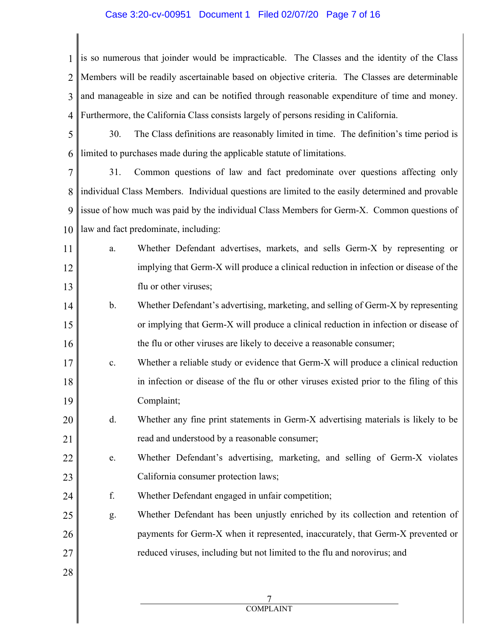### Case 3:20-cv-00951 Document 1 Filed 02/07/20 Page 7 of 16

1 is so numerous that joinder would be impracticable. The Classes and the identity of the Class 2 3 4 Members will be readily ascertainable based on objective criteria. The Classes are determinable and manageable in size and can be notified through reasonable expenditure of time and money. Furthermore, the California Class consists largely of persons residing in California.

5 6 30. The Class definitions are reasonably limited in time. The definition's time period is limited to purchases made during the applicable statute of limitations.

7 8 9 10 31. Common questions of law and fact predominate over questions affecting only individual Class Members. Individual questions are limited to the easily determined and provable issue of how much was paid by the individual Class Members for Germ-X. Common questions of law and fact predominate, including:

- 11 12 13 a. Whether Defendant advertises, markets, and sells Germ-X by representing or implying that Germ-X will produce a clinical reduction in infection or disease of the flu or other viruses;
- 14 15 16 b. Whether Defendant's advertising, marketing, and selling of Germ-X by representing or implying that Germ-X will produce a clinical reduction in infection or disease of the flu or other viruses are likely to deceive a reasonable consumer;
- 17 18 19 c. Whether a reliable study or evidence that Germ-X will produce a clinical reduction in infection or disease of the flu or other viruses existed prior to the filing of this Complaint;
- 20 21 d. Whether any fine print statements in Germ-X advertising materials is likely to be read and understood by a reasonable consumer;
- 22 23 e. Whether Defendant's advertising, marketing, and selling of Germ-X violates California consumer protection laws;
- 24 f. Whether Defendant engaged in unfair competition;
- 25 26 27 g. Whether Defendant has been unjustly enriched by its collection and retention of payments for Germ-X when it represented, inaccurately, that Germ-X prevented or reduced viruses, including but not limited to the flu and norovirus; and
- 28

7 COMPLAINT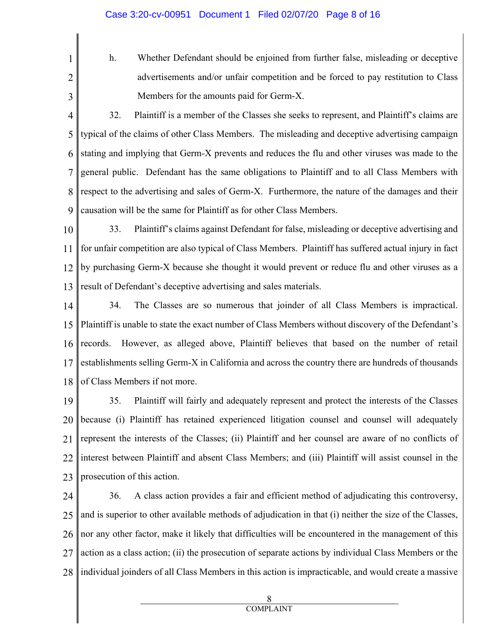2

1

h. Whether Defendant should be enjoined from further false, misleading or deceptive advertisements and/or unfair competition and be forced to pay restitution to Class Members for the amounts paid for Germ-X.

3

4 5 6 7 8 9 32. Plaintiff is a member of the Classes she seeks to represent, and Plaintiff's claims are typical of the claims of other Class Members. The misleading and deceptive advertising campaign stating and implying that Germ-X prevents and reduces the flu and other viruses was made to the general public. Defendant has the same obligations to Plaintiff and to all Class Members with respect to the advertising and sales of Germ-X. Furthermore, the nature of the damages and their causation will be the same for Plaintiff as for other Class Members.

10 11 12 13 33. Plaintiff's claims against Defendant for false, misleading or deceptive advertising and for unfair competition are also typical of Class Members. Plaintiff has suffered actual injury in fact by purchasing Germ-X because she thought it would prevent or reduce flu and other viruses as a result of Defendant's deceptive advertising and sales materials.

14 15 16 17 18 34. The Classes are so numerous that joinder of all Class Members is impractical. Plaintiff is unable to state the exact number of Class Members without discovery of the Defendant's records. However, as alleged above, Plaintiff believes that based on the number of retail establishments selling Germ-X in California and across the country there are hundreds of thousands of Class Members if not more.

19 20 21 22 23 35. Plaintiff will fairly and adequately represent and protect the interests of the Classes because (i) Plaintiff has retained experienced litigation counsel and counsel will adequately represent the interests of the Classes; (ii) Plaintiff and her counsel are aware of no conflicts of interest between Plaintiff and absent Class Members; and (iii) Plaintiff will assist counsel in the prosecution of this action.

24 25 26 27 28 36. A class action provides a fair and efficient method of adjudicating this controversy, and is superior to other available methods of adjudication in that (i) neither the size of the Classes, nor any other factor, make it likely that difficulties will be encountered in the management of this action as a class action; (ii) the prosecution of separate actions by individual Class Members or the individual joinders of all Class Members in this action is impracticable, and would create a massive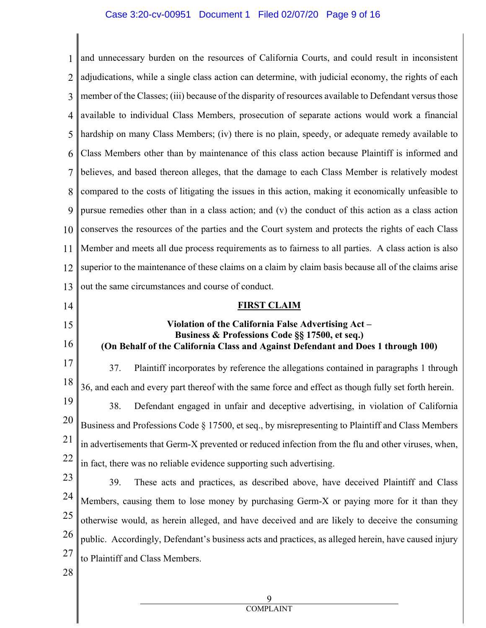#### Case 3:20-cv-00951 Document 1 Filed 02/07/20 Page 9 of 16

1 and unnecessary burden on the resources of California Courts, and could result in inconsistent 2 3 4 5 6 7 8 9 10 11 12 13 14 15 16 17 18 19 20 21 22 23 24 25 26 27 adjudications, while a single class action can determine, with judicial economy, the rights of each member of the Classes; (iii) because of the disparity of resources available to Defendant versus those available to individual Class Members, prosecution of separate actions would work a financial hardship on many Class Members; (iv) there is no plain, speedy, or adequate remedy available to Class Members other than by maintenance of this class action because Plaintiff is informed and believes, and based thereon alleges, that the damage to each Class Member is relatively modest compared to the costs of litigating the issues in this action, making it economically unfeasible to pursue remedies other than in a class action; and (v) the conduct of this action as a class action conserves the resources of the parties and the Court system and protects the rights of each Class Member and meets all due process requirements as to fairness to all parties. A class action is also superior to the maintenance of these claims on a claim by claim basis because all of the claims arise out the same circumstances and course of conduct. **FIRST CLAIM Violation of the California False Advertising Act – Business & Professions Code §§ 17500, et seq.) (On Behalf of the California Class and Against Defendant and Does 1 through 100)** 37. Plaintiff incorporates by reference the allegations contained in paragraphs 1 through 36, and each and every part thereof with the same force and effect as though fully set forth herein. 38. Defendant engaged in unfair and deceptive advertising, in violation of California Business and Professions Code § 17500, et seq., by misrepresenting to Plaintiff and Class Members in advertisements that Germ-X prevented or reduced infection from the flu and other viruses, when, in fact, there was no reliable evidence supporting such advertising. 39. These acts and practices, as described above, have deceived Plaintiff and Class Members, causing them to lose money by purchasing Germ-X or paying more for it than they otherwise would, as herein alleged, and have deceived and are likely to deceive the consuming public. Accordingly, Defendant's business acts and practices, as alleged herein, have caused injury to Plaintiff and Class Members.

28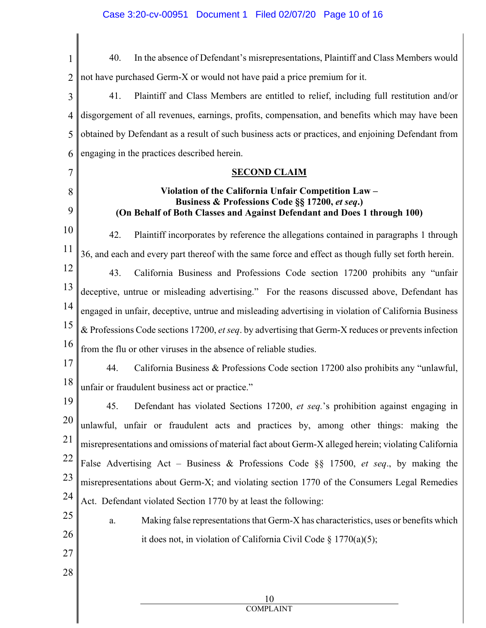| 1      | In the absence of Defendant's misrepresentations, Plaintiff and Class Members would<br>40.                                                                                         |  |
|--------|------------------------------------------------------------------------------------------------------------------------------------------------------------------------------------|--|
| 2      | not have purchased Germ-X or would not have paid a price premium for it.                                                                                                           |  |
| 3      | 41.<br>Plaintiff and Class Members are entitled to relief, including full restitution and/or                                                                                       |  |
| 4      | disgorgement of all revenues, earnings, profits, compensation, and benefits which may have been                                                                                    |  |
| 5      | obtained by Defendant as a result of such business acts or practices, and enjoining Defendant from                                                                                 |  |
| 6      | engaging in the practices described herein.                                                                                                                                        |  |
| 7      | <b>SECOND CLAIM</b>                                                                                                                                                                |  |
| 8<br>9 | Violation of the California Unfair Competition Law -<br>Business & Professions Code §§ 17200, et seq.)<br>(On Behalf of Both Classes and Against Defendant and Does 1 through 100) |  |
| 10     | 42.<br>Plaintiff incorporates by reference the allegations contained in paragraphs 1 through                                                                                       |  |
| 11     | 36, and each and every part thereof with the same force and effect as though fully set forth herein.                                                                               |  |
| 12     | 43.<br>California Business and Professions Code section 17200 prohibits any "unfair                                                                                                |  |
| 13     | deceptive, untrue or misleading advertising." For the reasons discussed above, Defendant has                                                                                       |  |
| 14     | engaged in unfair, deceptive, untrue and misleading advertising in violation of California Business                                                                                |  |
| 15     | & Professions Code sections 17200, et seq. by advertising that Germ-X reduces or prevents infection                                                                                |  |
| 16     | from the flu or other viruses in the absence of reliable studies.                                                                                                                  |  |
| 17     | 44.<br>California Business & Professions Code section 17200 also prohibits any "unlawful,                                                                                          |  |
| 18     | unfair or fraudulent business act or practice."                                                                                                                                    |  |
| 19     | Defendant has violated Sections 17200, et seq.'s prohibition against engaging in<br>45.                                                                                            |  |
| 20     | unlawful, unfair or fraudulent acts and practices by, among other things: making the                                                                                               |  |
| 21     | misrepresentations and omissions of material fact about Germ-X alleged herein; violating California                                                                                |  |
| 22     | False Advertising Act - Business & Professions Code §§ 17500, et seq., by making the                                                                                               |  |
| 23     | misrepresentations about Germ-X; and violating section 1770 of the Consumers Legal Remedies                                                                                        |  |
| 24     | Act. Defendant violated Section 1770 by at least the following:                                                                                                                    |  |
| 25     | Making false representations that Germ-X has characteristics, uses or benefits which<br>a.                                                                                         |  |
| 26     | it does not, in violation of California Civil Code § 1770(a)(5);                                                                                                                   |  |
| 27     |                                                                                                                                                                                    |  |
| 28     |                                                                                                                                                                                    |  |
|        | 10                                                                                                                                                                                 |  |
|        | <b>COMPLAINT</b>                                                                                                                                                                   |  |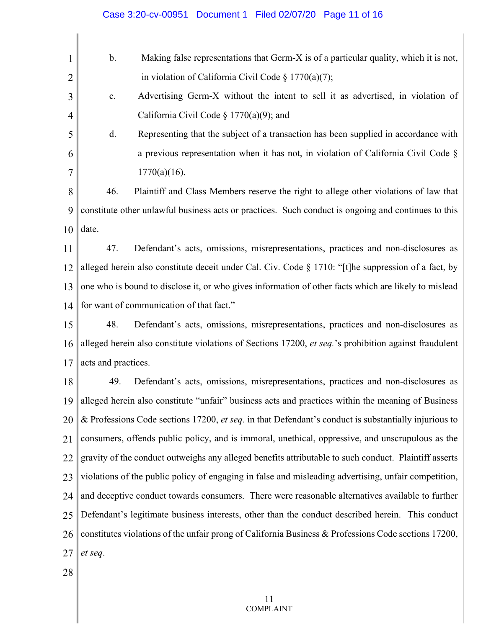| 1  | Making false representations that Germ-X is of a particular quality, which it is not,<br>b.           |  |
|----|-------------------------------------------------------------------------------------------------------|--|
| 2  | in violation of California Civil Code § 1770(a)(7);                                                   |  |
| 3  | Advertising Germ-X without the intent to sell it as advertised, in violation of<br>$\mathbf{c}.$      |  |
| 4  | California Civil Code § 1770(a)(9); and                                                               |  |
| 5  | Representing that the subject of a transaction has been supplied in accordance with<br>d.             |  |
| 6  | a previous representation when it has not, in violation of California Civil Code $\S$                 |  |
| 7  | $1770(a)(16)$ .                                                                                       |  |
| 8  | Plaintiff and Class Members reserve the right to allege other violations of law that<br>46.           |  |
| 9  | constitute other unlawful business acts or practices. Such conduct is ongoing and continues to this   |  |
| 10 | date.                                                                                                 |  |
| 11 | Defendant's acts, omissions, misrepresentations, practices and non-disclosures as<br>47.              |  |
| 12 | alleged herein also constitute deceit under Cal. Civ. Code § 1710: "[t]he suppression of a fact, by   |  |
| 13 | one who is bound to disclose it, or who gives information of other facts which are likely to mislead  |  |
| 14 | for want of communication of that fact."                                                              |  |
| 15 | Defendant's acts, omissions, misrepresentations, practices and non-disclosures as<br>48.              |  |
| 16 | alleged herein also constitute violations of Sections 17200, et seq.'s prohibition against fraudulent |  |
| 17 | acts and practices.                                                                                   |  |
| 18 | 49.<br>Defendant's acts, omissions, misrepresentations, practices and non-disclosures as              |  |
| 19 | alleged herein also constitute "unfair" business acts and practices within the meaning of Business    |  |
| 20 | & Professions Code sections 17200, et seq. in that Defendant's conduct is substantially injurious to  |  |
| 21 | consumers, offends public policy, and is immoral, unethical, oppressive, and unscrupulous as the      |  |
| 22 | gravity of the conduct outweighs any alleged benefits attributable to such conduct. Plaintiff asserts |  |
| 23 | violations of the public policy of engaging in false and misleading advertising, unfair competition,  |  |
| 24 | and deceptive conduct towards consumers. There were reasonable alternatives available to further      |  |
| 25 | Defendant's legitimate business interests, other than the conduct described herein. This conduct      |  |
| 26 | constitutes violations of the unfair prong of California Business & Professions Code sections 17200,  |  |
| 27 | et seq.                                                                                               |  |
| 28 |                                                                                                       |  |

Case 3:20-cv-00951 Document 1 Filed 02/07/20 Page 11 of 16

11 COMPLAINT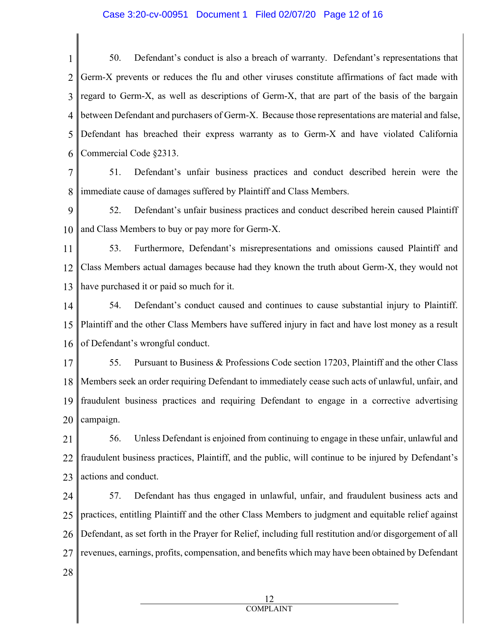#### Case 3:20-cv-00951 Document 1 Filed 02/07/20 Page 12 of 16

1 2 3 4 5 6 50. Defendant's conduct is also a breach of warranty. Defendant's representations that Germ-X prevents or reduces the flu and other viruses constitute affirmations of fact made with regard to Germ-X, as well as descriptions of Germ-X, that are part of the basis of the bargain between Defendant and purchasers of Germ-X. Because those representations are material and false, Defendant has breached their express warranty as to Germ-X and have violated California Commercial Code §2313.

7 8 51. Defendant's unfair business practices and conduct described herein were the immediate cause of damages suffered by Plaintiff and Class Members.

9 10 52. Defendant's unfair business practices and conduct described herein caused Plaintiff and Class Members to buy or pay more for Germ-X.

11 12 13 53. Furthermore, Defendant's misrepresentations and omissions caused Plaintiff and Class Members actual damages because had they known the truth about Germ-X, they would not have purchased it or paid so much for it.

14 15 16 54. Defendant's conduct caused and continues to cause substantial injury to Plaintiff. Plaintiff and the other Class Members have suffered injury in fact and have lost money as a result of Defendant's wrongful conduct.

17 18 19 20 55. Pursuant to Business & Professions Code section 17203, Plaintiff and the other Class Members seek an order requiring Defendant to immediately cease such acts of unlawful, unfair, and fraudulent business practices and requiring Defendant to engage in a corrective advertising campaign.

21 22 23 56. Unless Defendant is enjoined from continuing to engage in these unfair, unlawful and fraudulent business practices, Plaintiff, and the public, will continue to be injured by Defendant's actions and conduct.

24 25 26 27 57. Defendant has thus engaged in unlawful, unfair, and fraudulent business acts and practices, entitling Plaintiff and the other Class Members to judgment and equitable relief against Defendant, as set forth in the Prayer for Relief, including full restitution and/or disgorgement of all revenues, earnings, profits, compensation, and benefits which may have been obtained by Defendant

28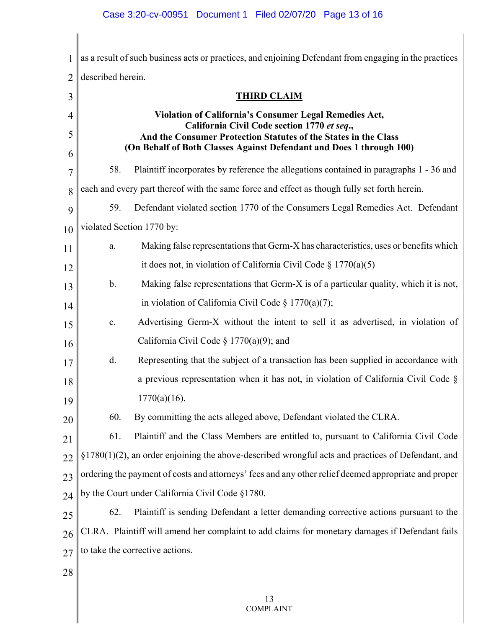# Case 3:20-cv-00951 Document 1 Filed 02/07/20 Page 13 of 16

| 1              | as a result of such business acts or practices, and enjoining Defendant from engaging in the practices         |                                                                                              |  |
|----------------|----------------------------------------------------------------------------------------------------------------|----------------------------------------------------------------------------------------------|--|
| $\overline{2}$ | described herein.                                                                                              |                                                                                              |  |
| 3              |                                                                                                                | <b>THIRD CLAIM</b>                                                                           |  |
| 4              |                                                                                                                | <b>Violation of California's Consumer Legal Remedies Act,</b>                                |  |
| 5              | California Civil Code section 1770 et seq.,<br>And the Consumer Protection Statutes of the States in the Class |                                                                                              |  |
| 6              |                                                                                                                | (On Behalf of Both Classes Against Defendant and Does 1 through 100)                         |  |
| 7              | 58.                                                                                                            | Plaintiff incorporates by reference the allegations contained in paragraphs 1 - 36 and       |  |
| 8              |                                                                                                                | each and every part thereof with the same force and effect as though fully set forth herein. |  |
| 9              | 59.                                                                                                            | Defendant violated section 1770 of the Consumers Legal Remedies Act. Defendant               |  |
| 10             | violated Section 1770 by:                                                                                      |                                                                                              |  |
| 11             | a.                                                                                                             | Making false representations that Germ-X has characteristics, uses or benefits which         |  |
| 12             |                                                                                                                | it does not, in violation of California Civil Code $\S 1770(a)(5)$                           |  |
| 13             | $\mathbf b$ .                                                                                                  | Making false representations that Germ-X is of a particular quality, which it is not,        |  |
| 14             |                                                                                                                | in violation of California Civil Code $\S 1770(a)(7)$ ;                                      |  |
| 15             | c.                                                                                                             | Advertising Germ-X without the intent to sell it as advertised, in violation of              |  |
| 16             |                                                                                                                | California Civil Code § 1770(a)(9); and                                                      |  |
| 17             | d.                                                                                                             | Representing that the subject of a transaction has been supplied in accordance with          |  |
| 18             |                                                                                                                | a previous representation when it has not, in violation of California Civil Code $\S$        |  |
| 19             |                                                                                                                | $1770(a)(16)$ .                                                                              |  |
| 20             | 60.                                                                                                            | By committing the acts alleged above, Defendant violated the CLRA.                           |  |
| 21             | 61.                                                                                                            | Plaintiff and the Class Members are entitled to, pursuant to California Civil Code           |  |
| 22             | $\S1780(1)(2)$ , an order enjoining the above-described wrongful acts and practices of Defendant, and          |                                                                                              |  |
| 23             | ordering the payment of costs and attorneys' fees and any other relief deemed appropriate and proper           |                                                                                              |  |
| 24             | by the Court under California Civil Code §1780.                                                                |                                                                                              |  |
| 25             | 62.                                                                                                            | Plaintiff is sending Defendant a letter demanding corrective actions pursuant to the         |  |
| 26             | CLRA. Plaintiff will amend her complaint to add claims for monetary damages if Defendant fails                 |                                                                                              |  |
| 27             | to take the corrective actions.                                                                                |                                                                                              |  |
| 28             |                                                                                                                |                                                                                              |  |
|                |                                                                                                                | 13                                                                                           |  |
|                |                                                                                                                |                                                                                              |  |

∥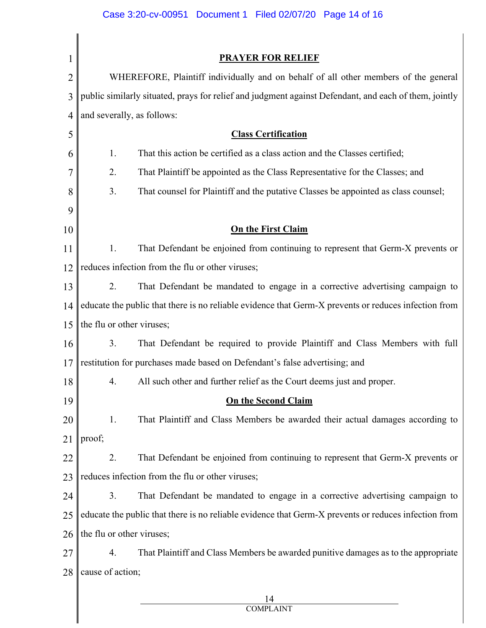# Case 3:20-cv-00951 Document 1 Filed 02/07/20 Page 14 of 16

| 1              | <b>PRAYER FOR RELIEF</b>                                                                              |  |
|----------------|-------------------------------------------------------------------------------------------------------|--|
| $\overline{2}$ | WHEREFORE, Plaintiff individually and on behalf of all other members of the general                   |  |
| 3              | public similarly situated, prays for relief and judgment against Defendant, and each of them, jointly |  |
| 4              | and severally, as follows:                                                                            |  |
| 5              | <b>Class Certification</b>                                                                            |  |
| 6              | That this action be certified as a class action and the Classes certified;<br>1.                      |  |
| 7              | 2.<br>That Plaintiff be appointed as the Class Representative for the Classes; and                    |  |
| 8              | 3.<br>That counsel for Plaintiff and the putative Classes be appointed as class counsel;              |  |
| 9              |                                                                                                       |  |
| 10             | <b>On the First Claim</b>                                                                             |  |
| 11             | That Defendant be enjoined from continuing to represent that Germ-X prevents or<br>1.                 |  |
| 12             | reduces infection from the flu or other viruses;                                                      |  |
| 13             | 2.<br>That Defendant be mandated to engage in a corrective advertising campaign to                    |  |
| 14             | educate the public that there is no reliable evidence that Germ-X prevents or reduces infection from  |  |
| 15             | the flu or other viruses;                                                                             |  |
| 16             | 3.<br>That Defendant be required to provide Plaintiff and Class Members with full                     |  |
| 17             | restitution for purchases made based on Defendant's false advertising; and                            |  |
| 18             | All such other and further relief as the Court deems just and proper.<br>4.                           |  |
| 19             | <b>On the Second Claim</b>                                                                            |  |
| 20             | That Plaintiff and Class Members be awarded their actual damages according to<br>1.                   |  |
| 21             | proof;                                                                                                |  |
| 22             | 2.<br>That Defendant be enjoined from continuing to represent that Germ-X prevents or                 |  |
| 23             | reduces infection from the flu or other viruses;                                                      |  |
| 24             | 3.<br>That Defendant be mandated to engage in a corrective advertising campaign to                    |  |
| 25             | educate the public that there is no reliable evidence that Germ-X prevents or reduces infection from  |  |
| 26             | the flu or other viruses;                                                                             |  |
| 27             | That Plaintiff and Class Members be awarded punitive damages as to the appropriate<br>4.              |  |
| 28             | cause of action;                                                                                      |  |
|                | 14                                                                                                    |  |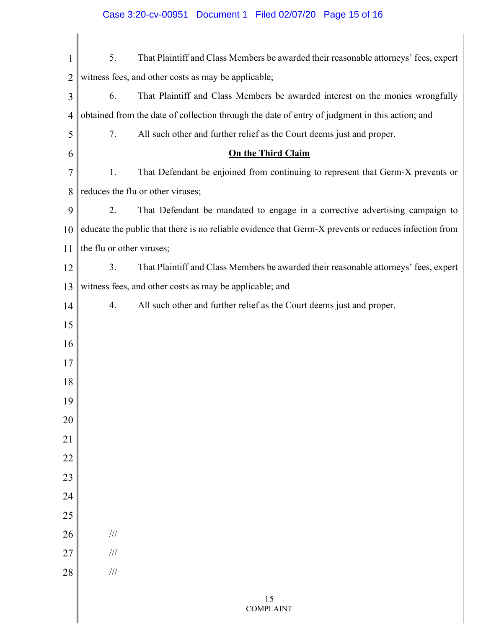| $\mathbf 1$    | That Plaintiff and Class Members be awarded their reasonable attorneys' fees, expert<br>5.           |  |
|----------------|------------------------------------------------------------------------------------------------------|--|
| $\overline{2}$ | witness fees, and other costs as may be applicable;                                                  |  |
| 3              | 6.<br>That Plaintiff and Class Members be awarded interest on the monies wrongfully                  |  |
| $\overline{4}$ | obtained from the date of collection through the date of entry of judgment in this action; and       |  |
| 5              | 7.<br>All such other and further relief as the Court deems just and proper.                          |  |
| 6              | <b>On the Third Claim</b>                                                                            |  |
| 7              | That Defendant be enjoined from continuing to represent that Germ-X prevents or<br>1.                |  |
| 8              | reduces the flu or other viruses;                                                                    |  |
| 9              | That Defendant be mandated to engage in a corrective advertising campaign to<br>2.                   |  |
| 10             | educate the public that there is no reliable evidence that Germ-X prevents or reduces infection from |  |
| 11             | the flu or other viruses;                                                                            |  |
| 12             | That Plaintiff and Class Members be awarded their reasonable attorneys' fees, expert<br>3.           |  |
| 13             | witness fees, and other costs as may be applicable; and                                              |  |
| 14             | All such other and further relief as the Court deems just and proper.<br>4.                          |  |
| 15             |                                                                                                      |  |
| 16             |                                                                                                      |  |
| 17             |                                                                                                      |  |
| 18             |                                                                                                      |  |
| 19             |                                                                                                      |  |
| 20             |                                                                                                      |  |
| 21             |                                                                                                      |  |
| 22             |                                                                                                      |  |
| 23             |                                                                                                      |  |
| 24             |                                                                                                      |  |
| 25             |                                                                                                      |  |
| 26             | $/\!/ \!/$                                                                                           |  |
| 27             | $/\!/ \!/$                                                                                           |  |
| 28             | $/\!/ \!/$                                                                                           |  |
|                | $\frac{15}{COMPLAINT}$                                                                               |  |
|                |                                                                                                      |  |